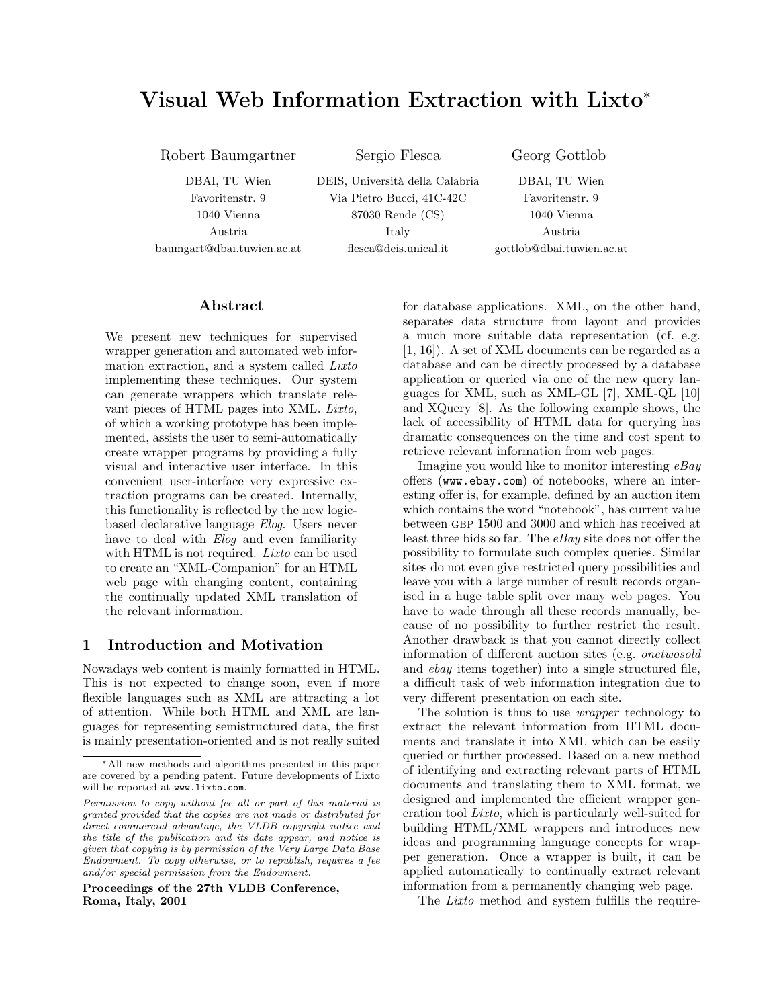# Visual Web Information Extraction with Lixto<sup>∗</sup>

Robert Baumgartner Sergio Flesca Georg Gottlob

DBAI, TU Wien DEIS, Università della Calabria DBAI, TU Wien Favoritenstr. 9 Via Pietro Bucci, 41C-42C Favoritenstr. 9 1040 Vienna 87030 Rende (CS) 1040 Vienna Austria Italy Austria baumgart@dbai.tuwien.ac.at flesca@deis.unical.it gottlob@dbai.tuwien.ac.at

### Abstract

We present new techniques for supervised wrapper generation and automated web information extraction, and a system called Lixto implementing these techniques. Our system can generate wrappers which translate relevant pieces of HTML pages into XML. Lixto, of which a working prototype has been implemented, assists the user to semi-automatically create wrapper programs by providing a fully visual and interactive user interface. In this convenient user-interface very expressive extraction programs can be created. Internally, this functionality is reflected by the new logicbased declarative language Elog. Users never have to deal with *Elog* and even familiarity with HTML is not required. *Lixto* can be used to create an "XML-Companion" for an HTML web page with changing content, containing the continually updated XML translation of the relevant information.

### 1 Introduction and Motivation

Nowadays web content is mainly formatted in HTML. This is not expected to change soon, even if more flexible languages such as XML are attracting a lot of attention. While both HTML and XML are languages for representing semistructured data, the first is mainly presentation-oriented and is not really suited

Proceedings of the 27th VLDB Conference, Roma, Italy, 2001

for database applications. XML, on the other hand, separates data structure from layout and provides a much more suitable data representation (cf. e.g. [1, 16]). A set of XML documents can be regarded as a database and can be directly processed by a database application or queried via one of the new query languages for XML, such as XML-GL [7], XML-QL [10] and XQuery [8]. As the following example shows, the lack of accessibility of HTML data for querying has dramatic consequences on the time and cost spent to retrieve relevant information from web pages.

Imagine you would like to monitor interesting  $eBay$ offers (www.ebay.com) of notebooks, where an interesting offer is, for example, defined by an auction item which contains the word "notebook", has current value between gbp 1500 and 3000 and which has received at least three bids so far. The  $eBay$  site does not offer the possibility to formulate such complex queries. Similar sites do not even give restricted query possibilities and leave you with a large number of result records organised in a huge table split over many web pages. You have to wade through all these records manually, because of no possibility to further restrict the result. Another drawback is that you cannot directly collect information of different auction sites (e.g. onetwosold and ebay items together) into a single structured file, a difficult task of web information integration due to very different presentation on each site.

The solution is thus to use wrapper technology to extract the relevant information from HTML documents and translate it into XML which can be easily queried or further processed. Based on a new method of identifying and extracting relevant parts of HTML documents and translating them to XML format, we designed and implemented the efficient wrapper generation tool Lixto, which is particularly well-suited for building HTML/XML wrappers and introduces new ideas and programming language concepts for wrapper generation. Once a wrapper is built, it can be applied automatically to continually extract relevant information from a permanently changing web page.

The Lixto method and system fulfills the require-

<sup>∗</sup>All new methods and algorithms presented in this paper are covered by a pending patent. Future developments of Lixto will be reported at www.lixto.com.

Permission to copy without fee all or part of this material is granted provided that the copies are not made or distributed for direct commercial advantage, the VLDB copyright notice and the title of the publication and its date appear, and notice is given that copying is by permission of the Very Large Data Base Endowment. To copy otherwise, or to republish, requires a fee and/or special permission from the Endowment.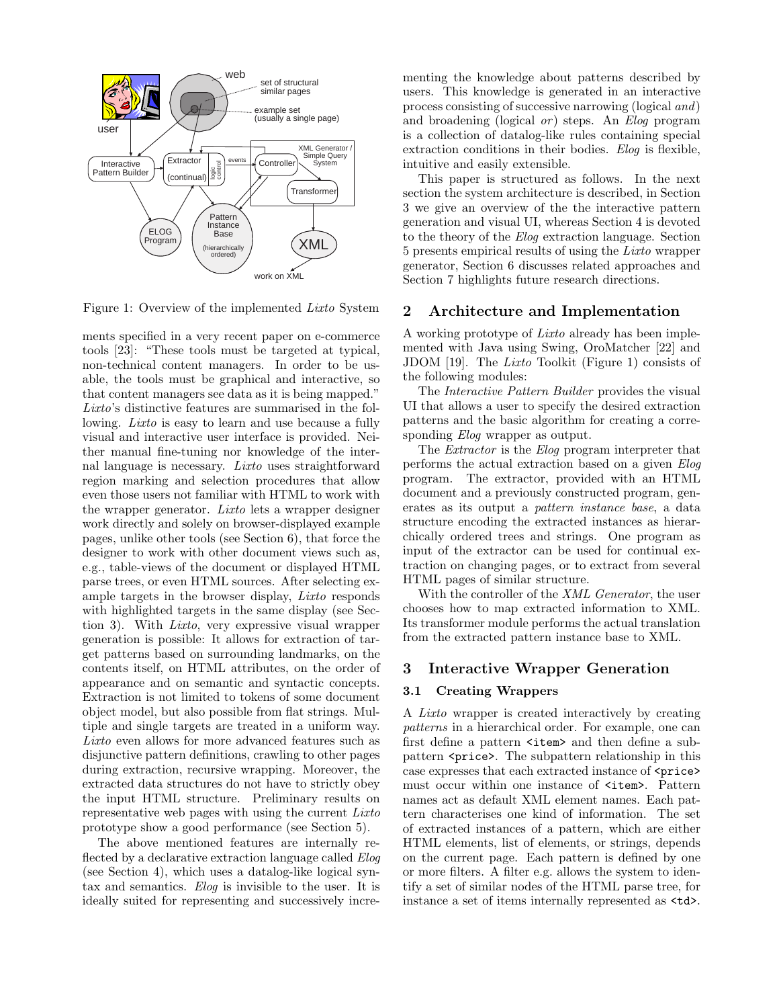

Figure 1: Overview of the implemented Lixto System

ments specified in a very recent paper on e-commerce tools [23]: "These tools must be targeted at typical, non-technical content managers. In order to be usable, the tools must be graphical and interactive, so that content managers see data as it is being mapped." Lixto's distinctive features are summarised in the following. Lixto is easy to learn and use because a fully visual and interactive user interface is provided. Neither manual fine-tuning nor knowledge of the internal language is necessary. Lixto uses straightforward region marking and selection procedures that allow even those users not familiar with HTML to work with the wrapper generator. Lixto lets a wrapper designer work directly and solely on browser-displayed example pages, unlike other tools (see Section 6), that force the designer to work with other document views such as, e.g., table-views of the document or displayed HTML parse trees, or even HTML sources. After selecting example targets in the browser display, Lixto responds with highlighted targets in the same display (see Section 3). With Lixto, very expressive visual wrapper generation is possible: It allows for extraction of target patterns based on surrounding landmarks, on the contents itself, on HTML attributes, on the order of appearance and on semantic and syntactic concepts. Extraction is not limited to tokens of some document object model, but also possible from flat strings. Multiple and single targets are treated in a uniform way. Lixto even allows for more advanced features such as disjunctive pattern definitions, crawling to other pages during extraction, recursive wrapping. Moreover, the extracted data structures do not have to strictly obey the input HTML structure. Preliminary results on representative web pages with using the current Lixto prototype show a good performance (see Section 5).

The above mentioned features are internally reflected by a declarative extraction language called *Elog* (see Section 4), which uses a datalog-like logical syntax and semantics. Elog is invisible to the user. It is ideally suited for representing and successively incrementing the knowledge about patterns described by users. This knowledge is generated in an interactive process consisting of successive narrowing (logical and) and broadening (logical  $or$ ) steps. An *Elog* program is a collection of datalog-like rules containing special extraction conditions in their bodies. Elog is flexible, intuitive and easily extensible.

This paper is structured as follows. In the next section the system architecture is described, in Section 3 we give an overview of the the interactive pattern generation and visual UI, whereas Section 4 is devoted to the theory of the Elog extraction language. Section 5 presents empirical results of using the Lixto wrapper generator, Section 6 discusses related approaches and Section 7 highlights future research directions.

### 2 Architecture and Implementation

A working prototype of Lixto already has been implemented with Java using Swing, OroMatcher [22] and JDOM [19]. The Lixto Toolkit (Figure 1) consists of the following modules:

The Interactive Pattern Builder provides the visual UI that allows a user to specify the desired extraction patterns and the basic algorithm for creating a corresponding *Elog* wrapper as output.

The Extractor is the Elog program interpreter that performs the actual extraction based on a given Elog program. The extractor, provided with an HTML document and a previously constructed program, generates as its output a pattern instance base, a data structure encoding the extracted instances as hierarchically ordered trees and strings. One program as input of the extractor can be used for continual extraction on changing pages, or to extract from several HTML pages of similar structure.

With the controller of the *XML Generator*, the user chooses how to map extracted information to XML. Its transformer module performs the actual translation from the extracted pattern instance base to XML.

### 3 Interactive Wrapper Generation

#### 3.1 Creating Wrappers

A Lixto wrapper is created interactively by creating patterns in a hierarchical order. For example, one can first define a pattern  $\times$ item> and then define a subpattern <price>. The subpattern relationship in this case expresses that each extracted instance of  $\langle price \rangle$ must occur within one instance of  $\text{time}$ . Pattern names act as default XML element names. Each pattern characterises one kind of information. The set of extracted instances of a pattern, which are either HTML elements, list of elements, or strings, depends on the current page. Each pattern is defined by one or more filters. A filter e.g. allows the system to identify a set of similar nodes of the HTML parse tree, for instance a set of items internally represented as  $\texttt{td>}.$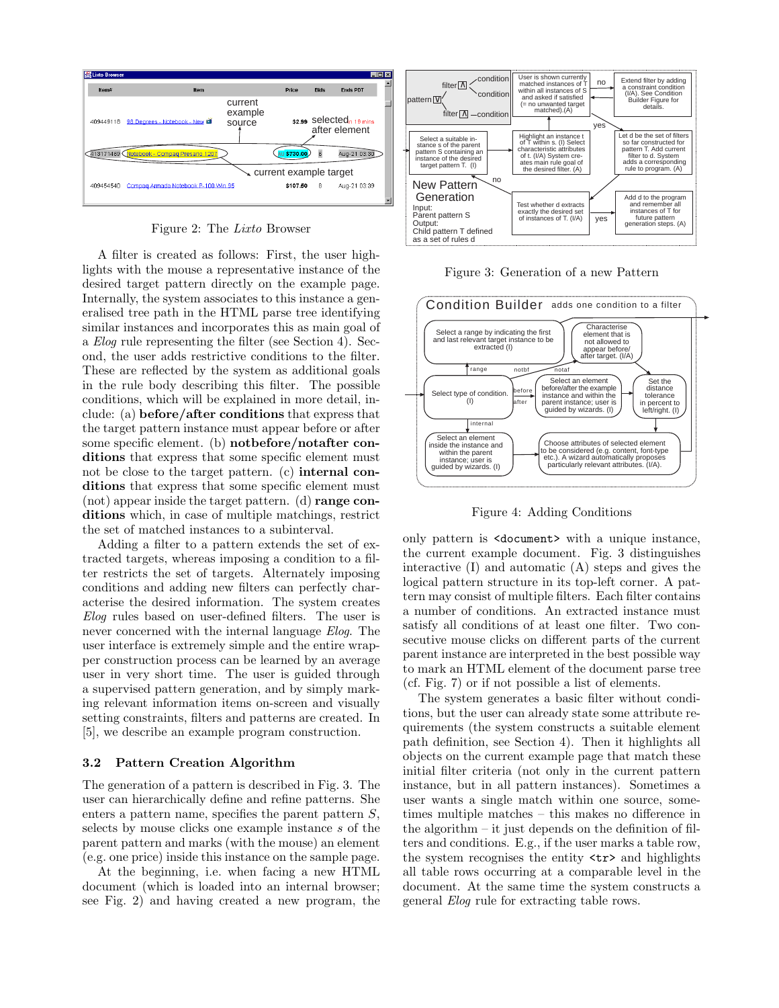

Figure 2: The Lixto Browser

A filter is created as follows: First, the user highlights with the mouse a representative instance of the desired target pattern directly on the example page. Internally, the system associates to this instance a generalised tree path in the HTML parse tree identifying similar instances and incorporates this as main goal of a Elog rule representing the filter (see Section 4). Second, the user adds restrictive conditions to the filter. These are reflected by the system as additional goals in the rule body describing this filter. The possible conditions, which will be explained in more detail, include: (a) before/after conditions that express that the target pattern instance must appear before or after some specific element. (b) notbefore/notafter conditions that express that some specific element must not be close to the target pattern. (c) internal conditions that express that some specific element must  $($ not) appear inside the target pattern.  $(d)$  range conditions which, in case of multiple matchings, restrict the set of matched instances to a subinterval.

Adding a filter to a pattern extends the set of extracted targets, whereas imposing a condition to a filter restricts the set of targets. Alternately imposing conditions and adding new filters can perfectly characterise the desired information. The system creates Elog rules based on user-defined filters. The user is never concerned with the internal language Elog. The user interface is extremely simple and the entire wrapper construction process can be learned by an average user in very short time. The user is guided through a supervised pattern generation, and by simply marking relevant information items on-screen and visually setting constraints, filters and patterns are created. In [5], we describe an example program construction.

#### 3.2 Pattern Creation Algorithm

The generation of a pattern is described in Fig. 3. The user can hierarchically define and refine patterns. She enters a pattern name, specifies the parent pattern  $S$ , selects by mouse clicks one example instance s of the parent pattern and marks (with the mouse) an element (e.g. one price) inside this instance on the sample page.

At the beginning, i.e. when facing a new HTML document (which is loaded into an internal browser; see Fig. 2) and having created a new program, the



Figure 3: Generation of a new Pattern



Figure 4: Adding Conditions

only pattern is <document> with a unique instance, the current example document. Fig. 3 distinguishes interactive (I) and automatic (A) steps and gives the logical pattern structure in its top-left corner. A pattern may consist of multiple filters. Each filter contains a number of conditions. An extracted instance must satisfy all conditions of at least one filter. Two consecutive mouse clicks on different parts of the current parent instance are interpreted in the best possible way to mark an HTML element of the document parse tree (cf. Fig. 7) or if not possible a list of elements.

The system generates a basic filter without conditions, but the user can already state some attribute requirements (the system constructs a suitable element path definition, see Section 4). Then it highlights all objects on the current example page that match these initial filter criteria (not only in the current pattern instance, but in all pattern instances). Sometimes a user wants a single match within one source, sometimes multiple matches – this makes no difference in the algorithm  $-$  it just depends on the definition of filters and conditions. E.g., if the user marks a table row, the system recognises the entity <tr> and highlights all table rows occurring at a comparable level in the document. At the same time the system constructs a general Elog rule for extracting table rows.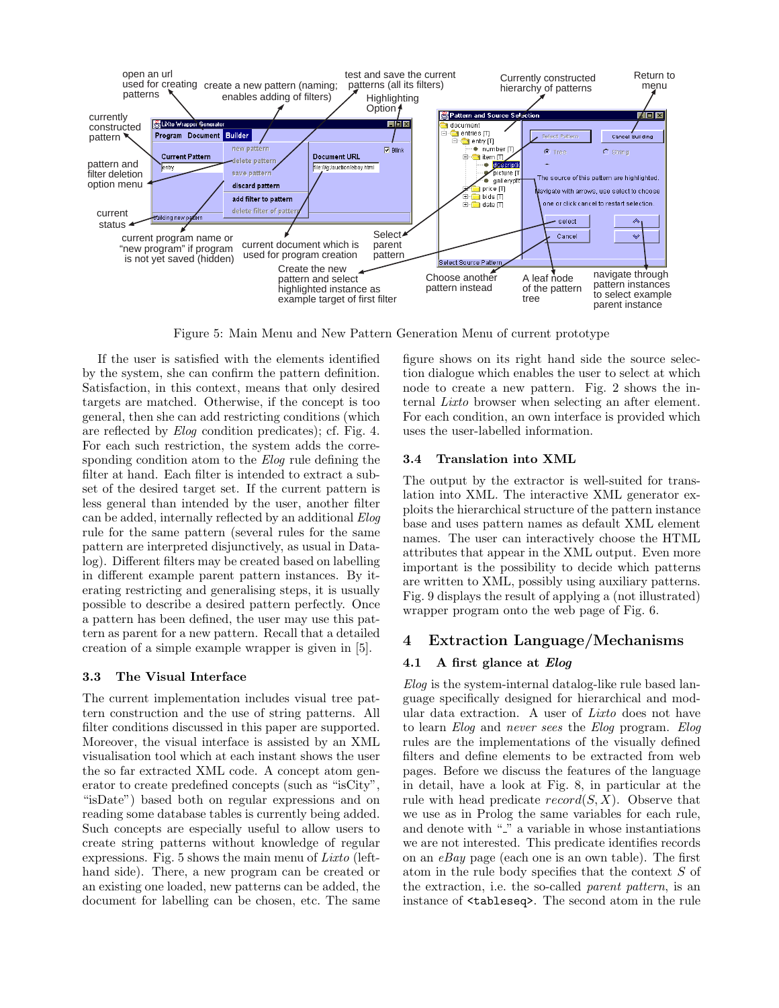

Figure 5: Main Menu and New Pattern Generation Menu of current prototype

If the user is satisfied with the elements identified by the system, she can confirm the pattern definition. Satisfaction, in this context, means that only desired targets are matched. Otherwise, if the concept is too general, then she can add restricting conditions (which are reflected by Elog condition predicates); cf. Fig. 4. For each such restriction, the system adds the corresponding condition atom to the *Elog* rule defining the filter at hand. Each filter is intended to extract a subset of the desired target set. If the current pattern is less general than intended by the user, another filter can be added, internally reflected by an additional Elog rule for the same pattern (several rules for the same pattern are interpreted disjunctively, as usual in Datalog). Different filters may be created based on labelling in different example parent pattern instances. By iterating restricting and generalising steps, it is usually possible to describe a desired pattern perfectly. Once a pattern has been defined, the user may use this pattern as parent for a new pattern. Recall that a detailed creation of a simple example wrapper is given in [5].

### 3.3 The Visual Interface

The current implementation includes visual tree pattern construction and the use of string patterns. All filter conditions discussed in this paper are supported. Moreover, the visual interface is assisted by an XML visualisation tool which at each instant shows the user the so far extracted XML code. A concept atom generator to create predefined concepts (such as "isCity", "isDate") based both on regular expressions and on reading some database tables is currently being added. Such concepts are especially useful to allow users to create string patterns without knowledge of regular expressions. Fig. 5 shows the main menu of Lixto (lefthand side). There, a new program can be created or an existing one loaded, new patterns can be added, the document for labelling can be chosen, etc. The same figure shows on its right hand side the source selection dialogue which enables the user to select at which node to create a new pattern. Fig. 2 shows the internal Lixto browser when selecting an after element. For each condition, an own interface is provided which uses the user-labelled information.

### 3.4 Translation into XML

The output by the extractor is well-suited for translation into XML. The interactive XML generator exploits the hierarchical structure of the pattern instance base and uses pattern names as default XML element names. The user can interactively choose the HTML attributes that appear in the XML output. Even more important is the possibility to decide which patterns are written to XML, possibly using auxiliary patterns. Fig. 9 displays the result of applying a (not illustrated) wrapper program onto the web page of Fig. 6.

### 4 Extraction Language/Mechanisms

### 4.1 A first glance at Elog

Elog is the system-internal datalog-like rule based language specifically designed for hierarchical and modular data extraction. A user of Lixto does not have to learn Elog and never sees the Elog program. Elog rules are the implementations of the visually defined filters and define elements to be extracted from web pages. Before we discuss the features of the language in detail, have a look at Fig. 8, in particular at the rule with head predicate  $record(S, X)$ . Observe that we use as in Prolog the same variables for each rule, and denote with " " a variable in whose instantiations we are not interested. This predicate identifies records on an  $eBay$  page (each one is an own table). The first atom in the rule body specifies that the context  $S$  of the extraction, i.e. the so-called parent pattern, is an instance of <tableseq>. The second atom in the rule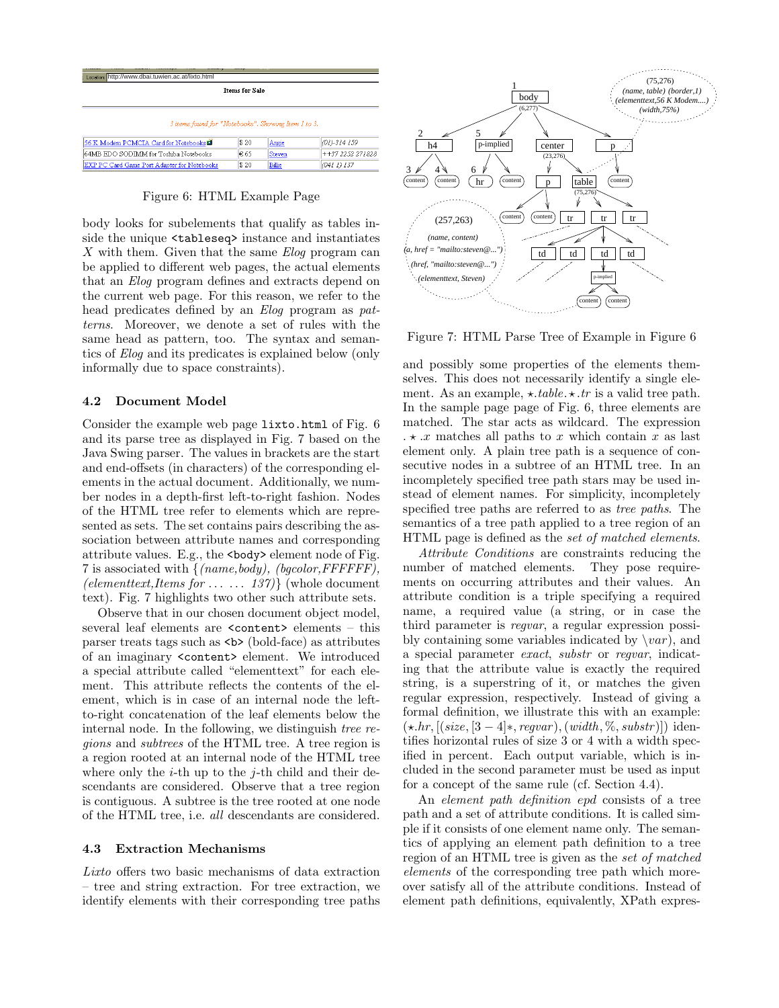| Location http://www.dbai.tuwien.ac.at/lixto.html    |      |        |                  |  |  |  |  |
|-----------------------------------------------------|------|--------|------------------|--|--|--|--|
| <b>Items for Sale</b>                               |      |        |                  |  |  |  |  |
| 3 items found for "Notebooks". Showing Item 1 to 3. |      |        |                  |  |  |  |  |
|                                                     |      |        |                  |  |  |  |  |
| 56 K Modem PCMCIA Card for Notebooks                | \$20 | Angie  | $(01) - 314159$  |  |  |  |  |
| 64MB EDO SODIMM for Toshiba Notebooks               | € 65 | Steven | $++372252271828$ |  |  |  |  |
| <b>IEXP PC Card Game Port Adapter for Notebooks</b> | \$20 | Billie | (04111137        |  |  |  |  |

### Figure 6: HTML Example Page

body looks for subelements that qualify as tables inside the unique <tableseq> instance and instantiates  $X$  with them. Given that the same  $Elog$  program can be applied to different web pages, the actual elements that an Elog program defines and extracts depend on the current web page. For this reason, we refer to the head predicates defined by an *Elog* program as *pat*terns. Moreover, we denote a set of rules with the same head as pattern, too. The syntax and semantics of Elog and its predicates is explained below (only informally due to space constraints).

### 4.2 Document Model

Consider the example web page lixto.html of Fig. 6 and its parse tree as displayed in Fig. 7 based on the Java Swing parser. The values in brackets are the start and end-offsets (in characters) of the corresponding elements in the actual document. Additionally, we number nodes in a depth-first left-to-right fashion. Nodes of the HTML tree refer to elements which are represented as sets. The set contains pairs describing the association between attribute names and corresponding attribute values. E.g., the  $\langle \text{body} \rangle$  element node of Fig. 7 is associated with  $\{(name, body), (bqcolor,FFFFFF),\}$ (elementtext, Items for  $\dots$  . . . . . 137) (whole document text). Fig. 7 highlights two other such attribute sets.

Observe that in our chosen document object model, several leaf elements are <content> elements – this parser treats tags such as  $\langle b \rangle$  (bold-face) as attributes of an imaginary <content> element. We introduced a special attribute called "elementtext" for each element. This attribute reflects the contents of the element, which is in case of an internal node the leftto-right concatenation of the leaf elements below the internal node. In the following, we distinguish tree regions and subtrees of the HTML tree. A tree region is a region rooted at an internal node of the HTML tree where only the *i*-th up to the *j*-th child and their descendants are considered. Observe that a tree region is contiguous. A subtree is the tree rooted at one node of the HTML tree, i.e. all descendants are considered.

### 4.3 Extraction Mechanisms

Lixto offers two basic mechanisms of data extraction – tree and string extraction. For tree extraction, we identify elements with their corresponding tree paths



Figure 7: HTML Parse Tree of Example in Figure 6

and possibly some properties of the elements themselves. This does not necessarily identify a single element. As an example,  $\star .table \cdot \star .tr$  is a valid tree path. In the sample page page of Fig. 6, three elements are matched. The star acts as wildcard. The expression  $\ldots \star x$  matches all paths to x which contain x as last element only. A plain tree path is a sequence of consecutive nodes in a subtree of an HTML tree. In an incompletely specified tree path stars may be used instead of element names. For simplicity, incompletely specified tree paths are referred to as tree paths. The semantics of a tree path applied to a tree region of an HTML page is defined as the set of matched elements.

Attribute Conditions are constraints reducing the number of matched elements. They pose requirements on occurring attributes and their values. An attribute condition is a triple specifying a required name, a required value (a string, or in case the third parameter is regvar, a regular expression possibly containing some variables indicated by  $\varphi$ , and a special parameter exact, substr or regvar, indicating that the attribute value is exactly the required string, is a superstring of it, or matches the given regular expression, respectively. Instead of giving a formal definition, we illustrate this with an example:  $(\star.hr, [(size, [3-4]*, regular), (width, \%, substr)])$  identifies horizontal rules of size 3 or 4 with a width specified in percent. Each output variable, which is included in the second parameter must be used as input for a concept of the same rule (cf. Section 4.4).

An element path definition epd consists of a tree path and a set of attribute conditions. It is called simple if it consists of one element name only. The semantics of applying an element path definition to a tree region of an HTML tree is given as the set of matched elements of the corresponding tree path which moreover satisfy all of the attribute conditions. Instead of element path definitions, equivalently, XPath expres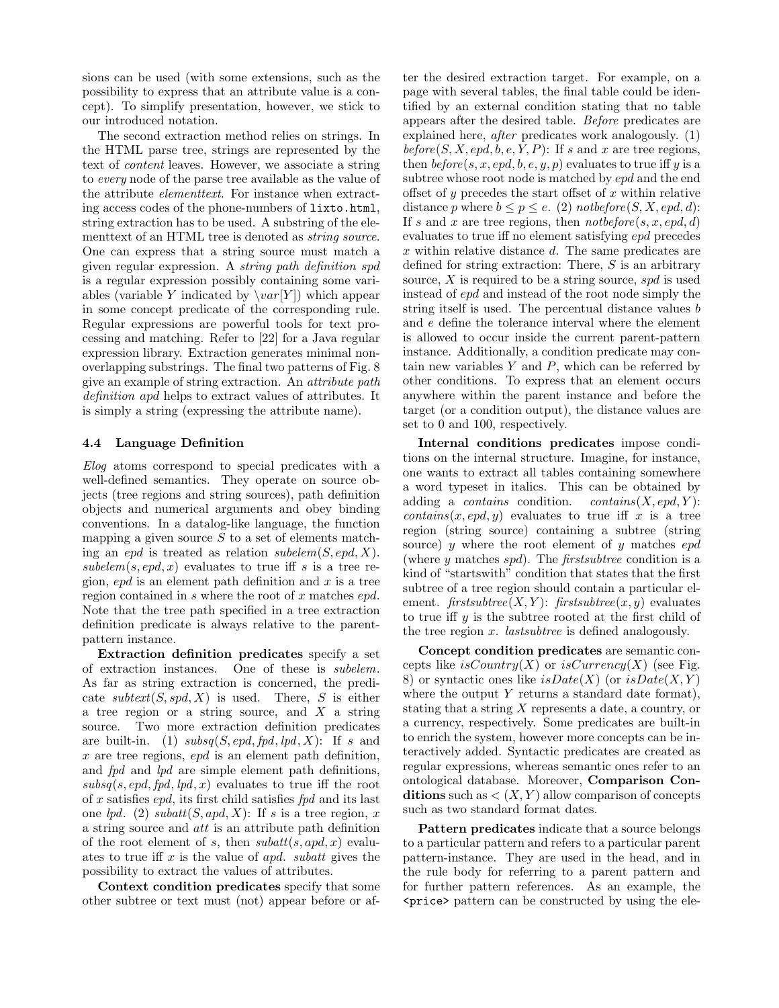sions can be used (with some extensions, such as the possibility to express that an attribute value is a concept). To simplify presentation, however, we stick to our introduced notation.

The second extraction method relies on strings. In the HTML parse tree, strings are represented by the text of content leaves. However, we associate a string to every node of the parse tree available as the value of the attribute elementtext. For instance when extracting access codes of the phone-numbers of lixto.html, string extraction has to be used. A substring of the elementtext of an HTML tree is denoted as *string source*. One can express that a string source must match a given regular expression. A string path definition spd is a regular expression possibly containing some variables (variable Y indicated by  $\varphi(Y)$ ) which appear in some concept predicate of the corresponding rule. Regular expressions are powerful tools for text processing and matching. Refer to [22] for a Java regular expression library. Extraction generates minimal nonoverlapping substrings. The final two patterns of Fig. 8 give an example of string extraction. An attribute path definition apd helps to extract values of attributes. It is simply a string (expressing the attribute name).

#### 4.4 Language Definition

Elog atoms correspond to special predicates with a well-defined semantics. They operate on source objects (tree regions and string sources), path definition objects and numerical arguments and obey binding conventions. In a datalog-like language, the function mapping a given source  $S$  to a set of elements matching an epd is treated as relation subelem $(S, epd, X)$ . subelem $(s, epd, x)$  evaluates to true iff s is a tree region,  $epd$  is an element path definition and x is a tree region contained in s where the root of x matches epd. Note that the tree path specified in a tree extraction definition predicate is always relative to the parentpattern instance.

Extraction definition predicates specify a set of extraction instances. One of these is subelem. As far as string extraction is concerned, the predicate subtext $(S, spd, X)$  is used. There, S is either a tree region or a string source, and  $X$  a string source. Two more extraction definition predicates are built-in. (1)  $subsq(S, epd, fpd, lpd, X)$ : If s and  $x$  are tree regions,  $epd$  is an element path definition, and fpd and lpd are simple element path definitions,  $subsq(s, epd, fpd, lpd, x)$  evaluates to true iff the root of x satisfies  $epd$ , its first child satisfies  $fpd$  and its last one lpd. (2) subatt $(S, apd, X)$ : If s is a tree region, x a string source and att is an attribute path definition of the root element of s, then  $subatt(s, apd, x)$  evaluates to true iff  $x$  is the value of apd. subatt gives the possibility to extract the values of attributes.

Context condition predicates specify that some other subtree or text must (not) appear before or after the desired extraction target. For example, on a page with several tables, the final table could be identified by an external condition stating that no table appears after the desired table. Before predicates are explained here, after predicates work analogously. (1) before  $(S, X, epd, b, e, Y, P)$ : If s and x are tree regions, then  $before(s, x, cpd, b, e, y, p)$  evaluates to true iff y is a subtree whose root node is matched by epd and the end offset of y precedes the start offset of x within relative distance p where  $b \leq p \leq e$ . (2) notbefore  $(S, X, epd, d)$ : If s and x are tree regions, then  $notbefore(s, x, cpd, d)$ evaluates to true iff no element satisfying epd precedes x within relative distance d. The same predicates are defined for string extraction: There,  $S$  is an arbitrary source,  $X$  is required to be a string source,  $spd$  is used instead of epd and instead of the root node simply the string itself is used. The percentual distance values b and e define the tolerance interval where the element is allowed to occur inside the current parent-pattern instance. Additionally, a condition predicate may contain new variables  $Y$  and  $P$ , which can be referred by other conditions. To express that an element occurs anywhere within the parent instance and before the target (or a condition output), the distance values are set to 0 and 100, respectively.

Internal conditions predicates impose conditions on the internal structure. Imagine, for instance, one wants to extract all tables containing somewhere a word typeset in italics. This can be obtained by adding a *contains* condition. *contains* $(X, epd, Y)$ :  $contains(x, cpd, y)$  evaluates to true iff x is a tree region (string source) containing a subtree (string source)  $y$  where the root element of  $y$  matches  $epd$ (where  $y$  matches  $spd$ ). The *firstsubtree* condition is a kind of "startswith" condition that states that the first subtree of a tree region should contain a particular element.  $first subtree(X, Y)$ :  $first subtree(x, y)$  evaluates to true iff  $y$  is the subtree rooted at the first child of the tree region x. lastsubtree is defined analogously.

Concept condition predicates are semantic concepts like isCountry(X) or isCurrency(X) (see Fig. 8) or syntactic ones like  $isDate(X)$  (or  $isDate(X, Y)$ ) where the output  $Y$  returns a standard date format), stating that a string X represents a date, a country, or a currency, respectively. Some predicates are built-in to enrich the system, however more concepts can be interactively added. Syntactic predicates are created as regular expressions, whereas semantic ones refer to an ontological database. Moreover, Comparison Conditions such as  $\lt(X, Y)$  allow comparison of concepts such as two standard format dates.

Pattern predicates indicate that a source belongs to a particular pattern and refers to a particular parent pattern-instance. They are used in the head, and in the rule body for referring to a parent pattern and for further pattern references. As an example, the <price> pattern can be constructed by using the ele-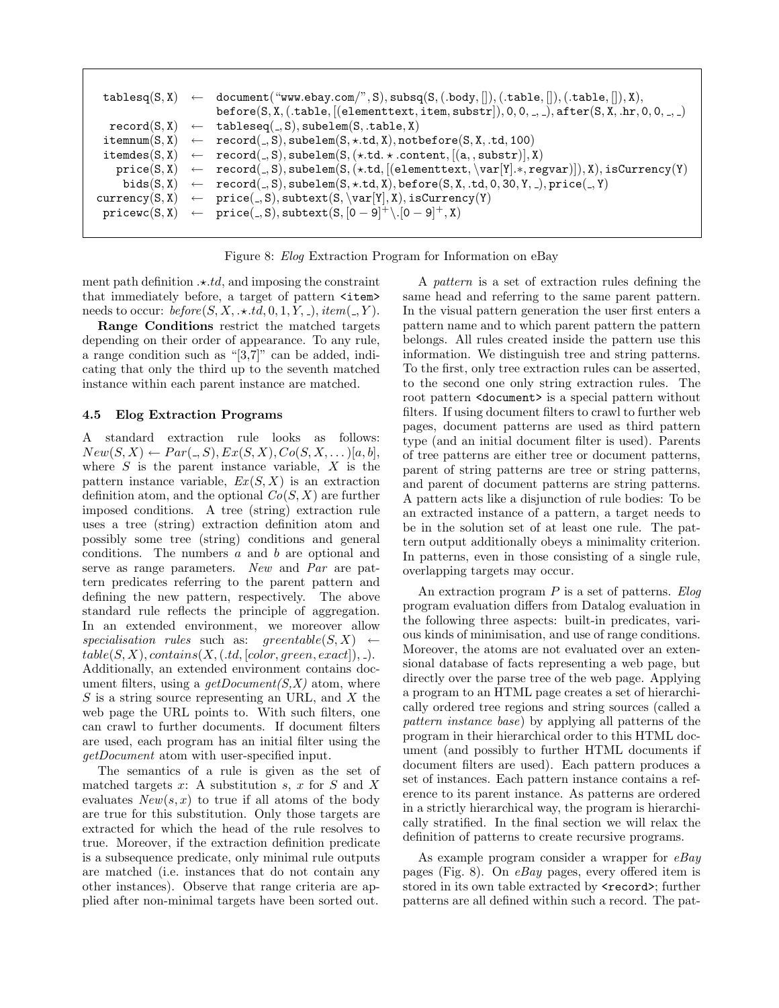```
tablesq(S, X) \leftarrow document("www.ebay.com", S), subsq(S, (.body,[], (.table,[], (.table,[], X),\mathsf{before}(S, X, (.table, [(elementtext, ttem, substr]), 0, 0, ..., 0, \mathsf{after}(S, X, \mathsf{ahr}, 0, 0, ..., 0, \mathsf{astr})record(S, X) \leftarrow tableseq(., S), subelem(S, .table, X)itemnum(S, X) \leftarrow record(., S), subelem(S, \star.td, X), not before(S, X, .td, 100)items(S, X) \leftarrow record(., S), subelem(S, (\star.td. \star .content, [(a., substr)], X)\text{price}(S, X) \leftarrow \text{record}(.S), \text{such}(\star.td, [(elementtext, \var[Y].*, \text{regular})]), X), \text{isCurrent}(Y)bids(S, X) \leftarrow record(., S), subelem(S, \star.td, X), before(S, X, .td, 0, 30, Y, .), price(., Y)\text{current}(S, X) \leftarrow \text{price}(.S), \text{subtract}(S, \text{Var}[Y], X), \text{isCurrent}(Y)\texttt{pricewc}(S, X) \leftarrow \texttt{price}(\_, S), \texttt{subtract}(S, [0 - 9]^+ \setminus [0 - 9]^+, X)
```


ment path definition  $\cdot \cdot \cdot td$ , and imposing the constraint that immediately before, a target of pattern  $\text{Sitem}$ needs to occur:  $before(S, X, \star.td, 0, 1, Y, \cdot), item(., Y)$ .

Range Conditions restrict the matched targets depending on their order of appearance. To any rule, a range condition such as "[3,7]" can be added, indicating that only the third up to the seventh matched instance within each parent instance are matched.

### 4.5 Elog Extraction Programs

A standard extraction rule looks as follows:  $New(S, X) \leftarrow Par(., S), Ex(S, X), Co(S, X, ...)[a, b],$ where  $S$  is the parent instance variable,  $X$  is the pattern instance variable,  $Ex(S, X)$  is an extraction definition atom, and the optional  $Co(S, X)$  are further imposed conditions. A tree (string) extraction rule uses a tree (string) extraction definition atom and possibly some tree (string) conditions and general conditions. The numbers  $a$  and  $b$  are optional and serve as range parameters. New and Par are pattern predicates referring to the parent pattern and defining the new pattern, respectively. The above standard rule reflects the principle of aggregation. In an extended environment, we moreover allow specialisation rules such as: greentable $(S, X) \leftarrow$  $table(S, X), contains(X, (td, [color,green,exact]), ...)$ . Additionally, an extended environment contains document filters, using a  $getDocument(S, X)$  atom, where S is a string source representing an URL, and X the web page the URL points to. With such filters, one can crawl to further documents. If document filters are used, each program has an initial filter using the getDocument atom with user-specified input.

The semantics of a rule is given as the set of matched targets x: A substitution s, x for  $S$  and X evaluates  $New(s, x)$  to true if all atoms of the body are true for this substitution. Only those targets are extracted for which the head of the rule resolves to true. Moreover, if the extraction definition predicate is a subsequence predicate, only minimal rule outputs are matched (i.e. instances that do not contain any other instances). Observe that range criteria are applied after non-minimal targets have been sorted out.

A pattern is a set of extraction rules defining the same head and referring to the same parent pattern. In the visual pattern generation the user first enters a pattern name and to which parent pattern the pattern belongs. All rules created inside the pattern use this information. We distinguish tree and string patterns. To the first, only tree extraction rules can be asserted, to the second one only string extraction rules. The root pattern <document> is a special pattern without filters. If using document filters to crawl to further web pages, document patterns are used as third pattern type (and an initial document filter is used). Parents of tree patterns are either tree or document patterns, parent of string patterns are tree or string patterns, and parent of document patterns are string patterns. A pattern acts like a disjunction of rule bodies: To be an extracted instance of a pattern, a target needs to be in the solution set of at least one rule. The pattern output additionally obeys a minimality criterion. In patterns, even in those consisting of a single rule, overlapping targets may occur.

An extraction program  $P$  is a set of patterns. Eloq program evaluation differs from Datalog evaluation in the following three aspects: built-in predicates, various kinds of minimisation, and use of range conditions. Moreover, the atoms are not evaluated over an extensional database of facts representing a web page, but directly over the parse tree of the web page. Applying a program to an HTML page creates a set of hierarchically ordered tree regions and string sources (called a pattern instance base) by applying all patterns of the program in their hierarchical order to this HTML document (and possibly to further HTML documents if document filters are used). Each pattern produces a set of instances. Each pattern instance contains a reference to its parent instance. As patterns are ordered in a strictly hierarchical way, the program is hierarchically stratified. In the final section we will relax the definition of patterns to create recursive programs.

As example program consider a wrapper for eBay pages (Fig. 8). On eBay pages, every offered item is stored in its own table extracted by **<record>**; further patterns are all defined within such a record. The pat-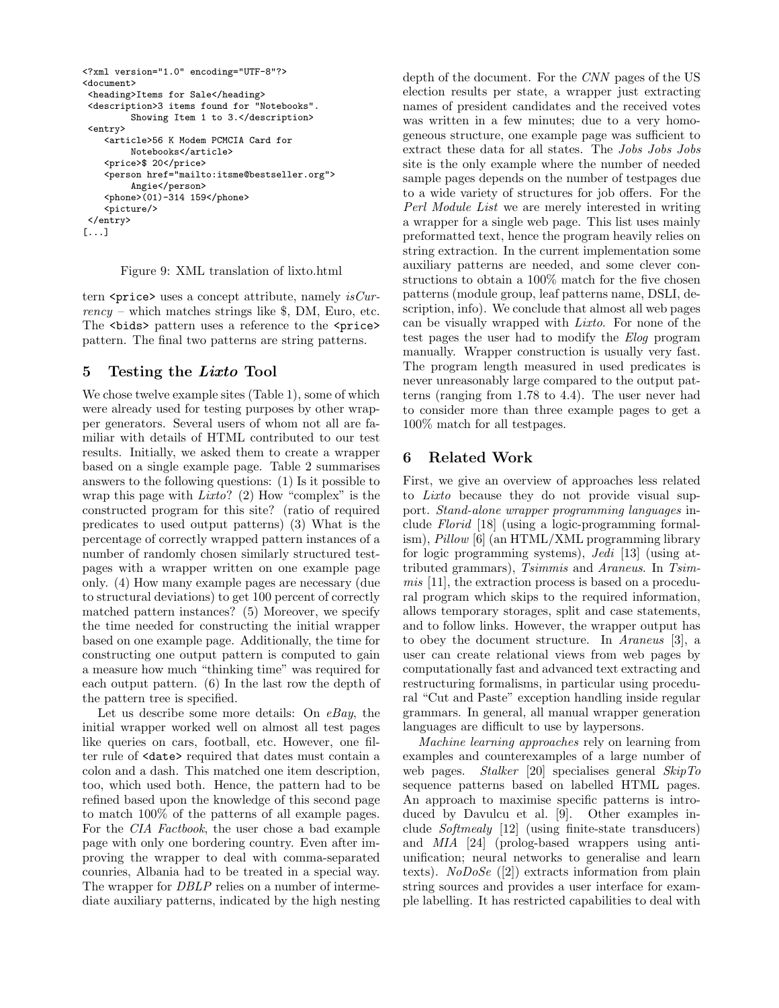```
<?xml version="1.0" encoding="UTF-8"?>
<document>
<heading>Items for Sale</heading>
<description>3 items found for "Notebooks".
         Showing Item 1 to 3.</description>
<entry>
    <article>56 K Modem PCMCIA Card for
         Notebooks</article>
    <price>$ 20</price>
    <person href="mailto:itsme@bestseller.org">
        Angie</person>
    <phone>(01)-314 159</phone>
    \langlepicture/>
</entry>
[...]
```
Figure 9: XML translation of lixto.html

tern  $\epsilon$ price> uses a concept attribute, namely *isCur* $rency$  – which matches strings like  $\$, DM, Euro, etc.$ The <br/>bids> pattern uses a reference to the <price> pattern. The final two patterns are string patterns.

# 5 Testing the Lixto Tool

We chose twelve example sites (Table 1), some of which were already used for testing purposes by other wrapper generators. Several users of whom not all are familiar with details of HTML contributed to our test results. Initially, we asked them to create a wrapper based on a single example page. Table 2 summarises answers to the following questions: (1) Is it possible to wrap this page with  $Lixto$ ? (2) How "complex" is the constructed program for this site? (ratio of required predicates to used output patterns) (3) What is the percentage of correctly wrapped pattern instances of a number of randomly chosen similarly structured testpages with a wrapper written on one example page only. (4) How many example pages are necessary (due to structural deviations) to get 100 percent of correctly matched pattern instances? (5) Moreover, we specify the time needed for constructing the initial wrapper based on one example page. Additionally, the time for constructing one output pattern is computed to gain a measure how much "thinking time" was required for each output pattern. (6) In the last row the depth of the pattern tree is specified.

Let us describe some more details: On  $eBay$ , the initial wrapper worked well on almost all test pages like queries on cars, football, etc. However, one filter rule of <date> required that dates must contain a colon and a dash. This matched one item description, too, which used both. Hence, the pattern had to be refined based upon the knowledge of this second page to match 100% of the patterns of all example pages. For the *CIA Factbook*, the user chose a bad example page with only one bordering country. Even after improving the wrapper to deal with comma-separated counries, Albania had to be treated in a special way. The wrapper for *DBLP* relies on a number of intermediate auxiliary patterns, indicated by the high nesting

depth of the document. For the CNN pages of the US election results per state, a wrapper just extracting names of president candidates and the received votes was written in a few minutes; due to a very homogeneous structure, one example page was sufficient to extract these data for all states. The Jobs Jobs Jobs site is the only example where the number of needed sample pages depends on the number of testpages due to a wide variety of structures for job offers. For the Perl Module List we are merely interested in writing a wrapper for a single web page. This list uses mainly preformatted text, hence the program heavily relies on string extraction. In the current implementation some auxiliary patterns are needed, and some clever constructions to obtain a 100% match for the five chosen patterns (module group, leaf patterns name, DSLI, description, info). We conclude that almost all web pages can be visually wrapped with Lixto. For none of the test pages the user had to modify the Elog program manually. Wrapper construction is usually very fast. The program length measured in used predicates is never unreasonably large compared to the output patterns (ranging from 1.78 to 4.4). The user never had to consider more than three example pages to get a 100% match for all testpages.

# 6 Related Work

First, we give an overview of approaches less related to Lixto because they do not provide visual support. Stand-alone wrapper programming languages include Florid [18] (using a logic-programming formalism), Pillow [6] (an HTML/XML programming library for logic programming systems), Jedi [13] (using attributed grammars), Tsimmis and Araneus. In Tsimmis [11], the extraction process is based on a procedural program which skips to the required information, allows temporary storages, split and case statements, and to follow links. However, the wrapper output has to obey the document structure. In Araneus [3], a user can create relational views from web pages by computationally fast and advanced text extracting and restructuring formalisms, in particular using procedural "Cut and Paste" exception handling inside regular grammars. In general, all manual wrapper generation languages are difficult to use by laypersons.

Machine learning approaches rely on learning from examples and counterexamples of a large number of web pages. Stalker [20] specialises general SkipTo sequence patterns based on labelled HTML pages. An approach to maximise specific patterns is introduced by Davulcu et al. [9]. Other examples include Softmealy [12] (using finite-state transducers) and MIA [24] (prolog-based wrappers using antiunification; neural networks to generalise and learn texts). NoDoSe  $([2])$  extracts information from plain string sources and provides a user interface for example labelling. It has restricted capabilities to deal with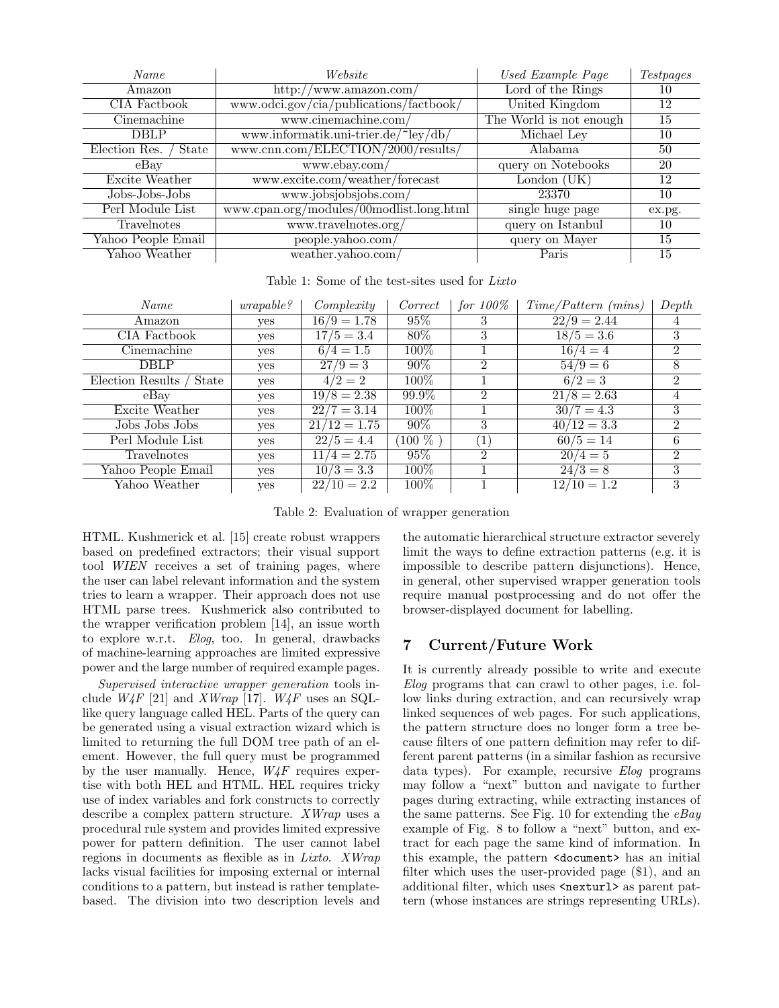| Name                   | Website                                  | Used Example Page       | <i>Testpages</i> |
|------------------------|------------------------------------------|-------------------------|------------------|
| Amazon                 | http://www.amazon.com/                   | Lord of the Rings       | 10               |
| CIA Factbook           | www.odci.gov/cia/publications/factbook/  | United Kingdom          | 12               |
| Cinemachine            | www.cinemachine.com/                     | The World is not enough | 15               |
| <b>DBLP</b>            | www.informatik.uni-trier.de/"ley/db/     | Michael Ley             | 10               |
| Election Res.<br>State | www.cnn.com/ELECTION/2000/results/       | Alabama                 | 50               |
| $e$ Bay                | www.ebay.com/                            | query on Notebooks      | 20               |
| Excite Weather         | www.excite.com/weather/forecast          | London $(UK)$           | 12               |
| Jobs-Jobs-Jobs         | www.jobsjobsjobs.com/                    | 23370                   | 10               |
| Perl Module List       | www.cpan.org/modules/00modlist.long.html | single huge page        | ex.pg.           |
| Travelnotes            | www.travelnotes.org/                     | query on Istanbul       | 10               |
| Yahoo People Email     | people.yahoo.com/                        | query on Mayer          | 15               |
| Yahoo Weather          | weather.vahoo.com/                       | Paris                   | 15               |

Table 1: Some of the test-sites used for Lixto

| Name                      | wrapable? | Complexity           | Correct   | for $100\%$    | $Time/Pattern$ (mins) | Depth          |
|---------------------------|-----------|----------------------|-----------|----------------|-----------------------|----------------|
| Amazon                    | yes       | $\sqrt{16/9} = 1.78$ | 95%       | 3              | $\sqrt{22/9} = 2.44$  |                |
| CIA Factbook              | yes       | $17/5 = 3.4$         | $80\%$    | 3              | $18/5 = 3.6$          | 3              |
| Cinemachine               | yes       | $6/4 = 1.5$          | $100\%$   |                | $16/4 = 4$            | $\mathcal{D}$  |
| <b>DBLP</b>               | yes       | $\sqrt{27/9} = 3$    | $90\%$    | $\overline{2}$ | $54/9=6$              | 8              |
| Election Results<br>State | yes       | $4/2 = 2$            | $100\%$   |                | $6/2 = 3$             | $\mathfrak{D}$ |
| $e$ Bay                   | ves       | $19/8 = 2.38$        | 99.9%     | $\mathcal{D}$  | $\sqrt{21/8} = 2.63$  | 4              |
| Excite Weather            | yes       | $22/7 = 3.14$        | 100%      |                | $30/7 = 4.3$          | 3              |
| Jobs Jobs Jobs            | yes       | $21/12 = 1.75$       | $90\%$    | 3              | $40/12 = 3.3$         | $\mathfrak{D}$ |
| Perl Module List          | yes       | $22/5 = 4.4$         | $100\ \%$ |                | $60/5 = 14$           | 6              |
| Travelnotes               | yes       | $11/4 = 2.75$        | 95%       | $\mathfrak{D}$ | $20/4=5$              | 2              |
| Yahoo People Email        | yes       | $10/3 = 3.3$         | $100\%$   |                | $24/3=8$              | 3              |
| Yahoo Weather             | yes       | $22/10 = 2.2$        | $100\%$   |                | $12/10 = 1.2$         | 3              |

Table 2: Evaluation of wrapper generation

HTML. Kushmerick et al. [15] create robust wrappers based on predefined extractors; their visual support tool WIEN receives a set of training pages, where the user can label relevant information and the system tries to learn a wrapper. Their approach does not use HTML parse trees. Kushmerick also contributed to the wrapper verification problem [14], an issue worth to explore w.r.t. Elog, too. In general, drawbacks of machine-learning approaches are limited expressive power and the large number of required example pages.

Supervised interactive wrapper generation tools include  $W_4F$  [21] and XWrap [17].  $W_4F$  uses an SQLlike query language called HEL. Parts of the query can be generated using a visual extraction wizard which is limited to returning the full DOM tree path of an element. However, the full query must be programmed by the user manually. Hence,  $W_4F$  requires expertise with both HEL and HTML. HEL requires tricky use of index variables and fork constructs to correctly describe a complex pattern structure. XWrap uses a procedural rule system and provides limited expressive power for pattern definition. The user cannot label regions in documents as flexible as in Lixto. XWrap lacks visual facilities for imposing external or internal conditions to a pattern, but instead is rather templatebased. The division into two description levels and the automatic hierarchical structure extractor severely limit the ways to define extraction patterns (e.g. it is impossible to describe pattern disjunctions). Hence, in general, other supervised wrapper generation tools require manual postprocessing and do not offer the browser-displayed document for labelling.

## 7 Current/Future Work

It is currently already possible to write and execute Elog programs that can crawl to other pages, i.e. follow links during extraction, and can recursively wrap linked sequences of web pages. For such applications, the pattern structure does no longer form a tree because filters of one pattern definition may refer to different parent patterns (in a similar fashion as recursive data types). For example, recursive Elog programs may follow a "next" button and navigate to further pages during extracting, while extracting instances of the same patterns. See Fig. 10 for extending the  $eBay$ example of Fig. 8 to follow a "next" button, and extract for each page the same kind of information. In this example, the pattern <document> has an initial filter which uses the user-provided page (\$1), and an additional filter, which uses  $\langle$ nexturl> as parent pattern (whose instances are strings representing URLs).